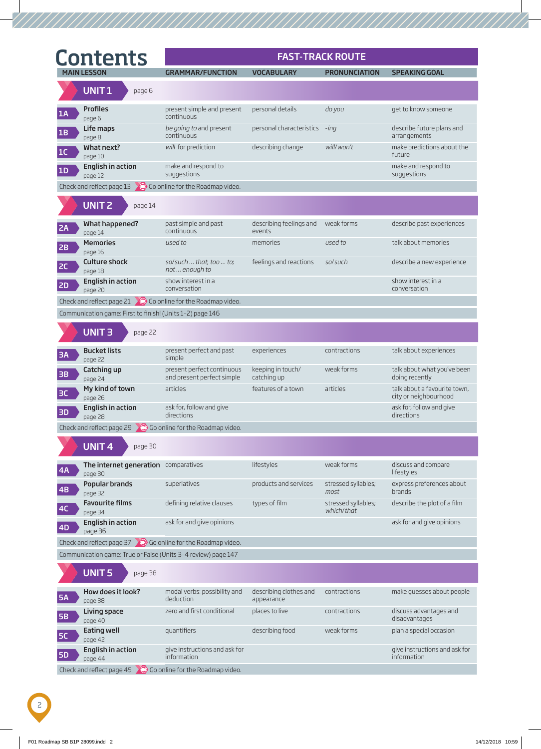|                 | <b>Contents</b>                                                        |                                                          |                                              | <b>FAST-TRACK ROUTE</b>           |                                                       |
|-----------------|------------------------------------------------------------------------|----------------------------------------------------------|----------------------------------------------|-----------------------------------|-------------------------------------------------------|
|                 | <b>MAIN LESSON</b>                                                     | <b>GRAMMAR/FUNCTION</b>                                  | <b>VOCABULARY</b>                            | <b>PRONUNCIATION</b>              | <b>SPEAKING GOAL</b>                                  |
|                 | UNIT <sub>1</sub><br>page 6                                            |                                                          |                                              |                                   |                                                       |
| 1A              | <b>Profiles</b><br>page 6                                              | present simple and present<br>continuous                 | personal details                             | do you                            | get to know someone                                   |
| 1B              | Life maps<br>page 8                                                    | be going to and present<br>continuous                    | personal characteristics -ing                |                                   | describe future plans and<br>arrangements             |
| 1C              | What next?<br>page 10                                                  | will for prediction                                      | describing change                            | will/won't                        | make predictions about the<br>future                  |
| 1D              | English in action<br>page 12                                           | make and respond to<br>suggestions                       |                                              |                                   | make and respond to<br>suggestions                    |
|                 | Check and reflect page $13 \times 10$ Go online for the Roadmap video. |                                                          |                                              |                                   |                                                       |
|                 | <b>UNIT 2</b><br>page 14                                               |                                                          |                                              |                                   |                                                       |
| 2A              | What happened?<br>page 14                                              | past simple and past<br>continuous                       | describing feelings and weak forms<br>events |                                   | describe past experiences                             |
| 2B              | <b>Memories</b><br>page 16                                             | used to                                                  | memories                                     | used to                           | talk about memories                                   |
| 2C              | <b>Culture shock</b><br>page 18                                        | so/such  that; too  to;<br>not  enough to                | feelings and reactions                       | so/such                           | describe a new experience                             |
| <b>2D</b>       | English in action<br>page 20                                           | show interest in a<br>conversation                       |                                              |                                   | show interest in a<br>conversation                    |
|                 | Check and reflect page 21 $\bigcirc$ Go online for the Roadmap video.  |                                                          |                                              |                                   |                                                       |
|                 | Communication game: First to finish! (Units 1-2) page 146              |                                                          |                                              |                                   |                                                       |
|                 | <b>UNIT3</b><br>page 22                                                |                                                          |                                              |                                   |                                                       |
| <b>3A</b>       | <b>Bucket lists</b><br>page 22                                         | present perfect and past<br>simple                       | experiences                                  | contractions                      | talk about experiences                                |
| 3B              | Catching up<br>page 24                                                 | present perfect continuous<br>and present perfect simple | keeping in touch/<br>catching up             | weak forms                        | talk about what you've been<br>doing recently         |
| 3C              | My kind of town<br>page 26                                             | articles                                                 | features of a town                           | articles                          | talk about a favourite town,<br>city or neighbourhood |
| <b>3D</b>       | English in action<br>page 28                                           | ask for, follow and give<br>directions                   |                                              |                                   | ask for, follow and give<br>directions                |
|                 | Check and reflect page 29 $\bigcirc$ Go online for the Roadmap video.  |                                                          |                                              |                                   |                                                       |
|                 | <b>UNIT4</b><br>page 30                                                |                                                          |                                              |                                   |                                                       |
| 4A              | The internet generation comparatives<br>page 30                        |                                                          | lifestyles                                   | weak forms                        | discuss and compare<br>lifestyles                     |
| $\overline{AB}$ | Popular brands<br>page 32                                              | superlatives                                             | products and services                        | stressed syllables;<br>most       | express preferences about<br><b>brands</b>            |
| 4C              | <b>Favourite films</b><br>page 34                                      | defining relative clauses                                | types of film                                | stressed syllables;<br>which/that | describe the plot of a film                           |
| 4D              | <b>English in action</b><br>page 36                                    | ask for and give opinions                                |                                              |                                   | ask for and give opinions                             |
|                 | Check and reflect page $37$ 0 Go online for the Roadmap video.         |                                                          |                                              |                                   |                                                       |
|                 | Communication game: True or False (Units 3-4 review) page 147          |                                                          |                                              |                                   |                                                       |
|                 | <b>UNIT5</b><br>page 38                                                |                                                          |                                              |                                   |                                                       |
| <b>5A</b>       | How does it look?<br>page 38                                           | modal verbs: possibility and<br>deduction                | describing clothes and<br>appearance         | contractions                      | make guesses about people                             |
| <b>5B</b>       | Living space<br>page 40                                                | zero and first conditional                               | places to live                               | contractions                      | discuss advantages and<br>disadvantages               |
| 5C              | Eating well<br>page 42                                                 | quantifiers                                              | describing food                              | weak forms                        | plan a special occasion                               |
| <b>5D</b>       | English in action<br>page 44                                           | give instructions and ask for<br>information             |                                              |                                   | give instructions and ask for<br>information          |
|                 |                                                                        |                                                          |                                              |                                   |                                                       |

Check and reflect page  $45$  Go online for the Roadmap video.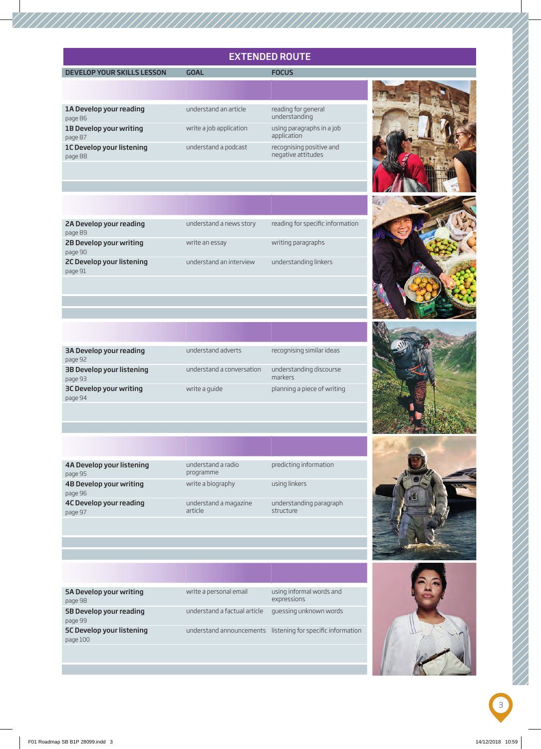# EXTENDED ROUTE

### MAIN DEVELOP YOUR SKILLS LESSON GOAL GOAL FOCUS

| 1A Develop your reading   |
|---------------------------|
| page 86                   |
| 1B Develop your writing   |
| page 87                   |
| 1C Develop your listening |
| page 88                   |

understand an article write a job application using paragraphs in a job understand a podcast recognising positive and

reading for general<br>understanding application negative attitudes



| reading for specific information<br>understand a news story<br>2A Develop your reading |
|----------------------------------------------------------------------------------------|
| page 89                                                                                |
| 2B Develop your writing<br>writing paragraphs<br>write an essay                        |
| page 90                                                                                |
| understand an interview<br>understanding linkers<br>2C Develop your listening          |
| page 91                                                                                |
|                                                                                        |

| 3A Develop your reading   | understand adverts        | recognising similar ideas   |
|---------------------------|---------------------------|-----------------------------|
| page 92                   |                           |                             |
| 3B Develop your listening | understand a conversation | understanding discourse     |
| page 93                   |                           | markers                     |
| 3C Develop your writing   | write a guide             | planning a piece of writing |
| page 94                   |                           |                             |

4A Develop your listening page 95 4B Develop your writing page 96 4C Develop your reading page 97

understand a radio programme write a biography using linkers understand a magazine article

predicting information understanding paragraph

structure



| using informal words and<br>write a personal email<br>5A Develop your writing<br>expressions<br>page 98<br>5B Develop your reading | page 99<br>5C Develop your listening<br>page 100            |  |
|------------------------------------------------------------------------------------------------------------------------------------|-------------------------------------------------------------|--|
|                                                                                                                                    | understand announcements listening for specific information |  |
| understand a factual article guessing unknown words                                                                                |                                                             |  |
|                                                                                                                                    |                                                             |  |
|                                                                                                                                    |                                                             |  |
|                                                                                                                                    |                                                             |  |
|                                                                                                                                    |                                                             |  |
|                                                                                                                                    |                                                             |  |



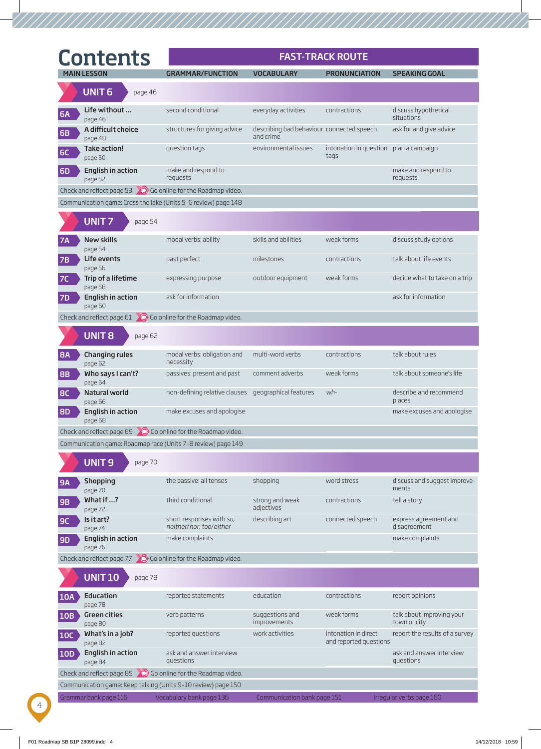|            | <b>Contents</b>                                                                  |                                                              |                                                        | <b>FAST-TRACK ROUTE</b>                        |                                           |
|------------|----------------------------------------------------------------------------------|--------------------------------------------------------------|--------------------------------------------------------|------------------------------------------------|-------------------------------------------|
|            | <b>MAIN LESSON</b>                                                               | <b>GRAMMAR/FUNCTION</b>                                      | <b>VOCABULARY</b>                                      | <b>PRONUNCIATION</b>                           | <b>SPEAKING GOAL</b>                      |
|            | <b>UNIT6</b><br>page 46                                                          |                                                              |                                                        |                                                |                                           |
| <b>6A</b>  | Life without<br>page 46                                                          | second conditional                                           | everyday activities                                    | contractions                                   | discuss hypothetical<br>situations        |
| 6B         | A difficult choice<br>page 48                                                    | structures for giving advice                                 | describing bad behaviour connected speech<br>and crime |                                                | ask for and give advice                   |
| <b>6C</b>  | Take action!<br>page 50                                                          | question tags                                                | environmental issues                                   | intonation in question plan a campaign<br>tags |                                           |
| <b>6D</b>  | <b>English in action</b><br>page 52                                              | make and respond to<br>requests                              |                                                        |                                                | make and respond to<br>requests           |
|            | Check and reflect page 53 $\bigcirc$ Go online for the Roadmap video.            |                                                              |                                                        |                                                |                                           |
|            | Communication game: Cross the lake (Units 5-6 review) page 148                   |                                                              |                                                        |                                                |                                           |
|            | <b>UNIT7</b><br>page 54                                                          |                                                              |                                                        |                                                |                                           |
| <b>7A</b>  | New skills<br>page 54                                                            | modal verbs: ability                                         | skills and abilities                                   | weak forms                                     | discuss study options                     |
| 7B         | Life events<br>page 56                                                           | past perfect                                                 | milestones                                             | contractions                                   | talk about life events                    |
| 7C         | Trip of a lifetime<br>page 58                                                    | expressing purpose                                           | outdoor equipment                                      | weak forms                                     | decide what to take on a trip             |
| <b>7D</b>  | English in action<br>page 60                                                     | ask for information                                          |                                                        |                                                | ask for information                       |
|            | Check and reflect page $61$ 0 Go online for the Roadmap video.                   |                                                              |                                                        |                                                |                                           |
|            | <b>UNIT8</b><br>page 62                                                          |                                                              |                                                        |                                                |                                           |
| <b>8A</b>  | <b>Changing rules</b><br>page 62                                                 | modal verbs: obligation and<br>necessity                     | multi-word verbs                                       | contractions                                   | talk about rules                          |
| <b>8B</b>  | Who says I can't?<br>page 64                                                     | passives: present and past                                   | comment adverbs                                        | weak forms                                     | talk about someone's life                 |
| <b>BC</b>  | Natural world<br>page 66                                                         | non-defining relative clauses geographical features          |                                                        | wh-                                            | describe and recommend<br>places          |
| <b>8D</b>  | <b>English in action</b><br>page 68                                              | make excuses and apologise                                   |                                                        |                                                | make excuses and apologise                |
|            | Check and reflect page 69 $\bigcirc$ Go online for the Roadmap video.            |                                                              |                                                        |                                                |                                           |
|            |                                                                                  | Communication game: Roadmap race (Units 7-8 review) page 149 |                                                        |                                                |                                           |
|            | <b>UNIT9</b><br>page 70                                                          |                                                              |                                                        |                                                |                                           |
| <b>9A</b>  | <b>Shopping</b><br>page 70                                                       | the passive: all tenses                                      | shopping                                               | word stress                                    | discuss and suggest improve-<br>ments     |
| 9B         | What if ?<br>page 72                                                             | third conditional                                            | strong and weak<br>adjectives                          | contractions                                   | tell a story                              |
| <b>9C</b>  | Is it art?<br>page 74                                                            | short responses with so,<br>neither/nor, too/either          | describing art                                         | connected speech                               | express agreement and<br>disagreement     |
| <b>9D</b>  | <b>English in action</b><br>page 76                                              | make complaints                                              |                                                        |                                                | make complaints                           |
|            | Check and reflect page 77 $\bigcirc$ Go online for the Roadmap video.            |                                                              |                                                        |                                                |                                           |
|            | <b>UNIT 10</b><br>page 78                                                        |                                                              |                                                        |                                                |                                           |
| <b>10A</b> | Education                                                                        | reported statements                                          | education                                              | contractions                                   | report opinions                           |
| 10B        | page 78<br><b>Green cities</b>                                                   | verb patterns                                                | suggestions and<br>improvements                        | weak forms                                     | talk about improving your<br>town or city |
| <b>10C</b> | page 80<br>What's in a job?                                                      | reported questions                                           | work activities                                        | intonation in direct<br>and reported questions | report the results of a survey            |
| <b>10D</b> | page 82<br>English in action                                                     | ask and answer interview<br>questions                        |                                                        |                                                | ask and answer interview<br>questions     |
|            | page 84<br>Check and reflect page 85 $\bigcirc$ Go online for the Roadmap video. |                                                              |                                                        |                                                |                                           |
|            | Communication game: Keep talking (Units 9-10 review) page 150                    |                                                              |                                                        |                                                |                                           |
|            | Grammar bank page 116                                                            | Vocabulary bank page 136                                     | Communication bank page 151                            |                                                | Irregular verbs page 160                  |

4